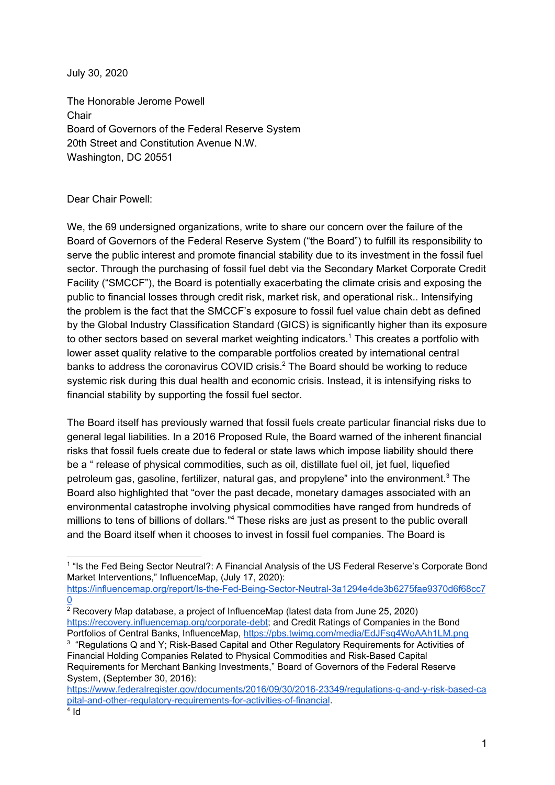July 30, 2020

The Honorable Jerome Powell **Chair** Board of Governors of the Federal Reserve System 20th Street and Constitution Avenue N.W. Washington, DC 20551

## Dear Chair Powell:

We, the 69 undersigned organizations, write to share our concern over the failure of the Board of Governors of the Federal Reserve System ("the Board") to fulfill its responsibility to serve the public interest and promote financial stability due to its investment in the fossil fuel sector. Through the purchasing of fossil fuel debt via the Secondary Market Corporate Credit Facility ("SMCCF"), the Board is potentially exacerbating the climate crisis and exposing the public to financial losses through credit risk, market risk, and operational risk.. Intensifying the problem is the fact that the SMCCF's exposure to fossil fuel value chain debt as defined by the Global Industry Classification Standard (GICS) is significantly higher than its exposure to other sectors based on several market weighting indicators.<sup>1</sup> This creates a portfolio with lower asset quality relative to the comparable portfolios created by international central banks to address the coronavirus COVID crisis. $<sup>2</sup>$  The Board should be working to reduce</sup> systemic risk during this dual health and economic crisis. Instead, it is intensifying risks to financial stability by supporting the fossil fuel sector.

The Board itself has previously warned that fossil fuels create particular financial risks due to general legal liabilities. In a 2016 Proposed Rule, the Board warned of the inherent financial risks that fossil fuels create due to federal or state laws which impose liability should there be a " release of physical commodities, such as oil, distillate fuel oil, jet fuel, liquefied petroleum gas, gasoline, fertilizer, natural gas, and propylene" into the environment. $3$  The Board also highlighted that "over the past decade, monetary damages associated with an environmental catastrophe involving physical commodities have ranged from hundreds of millions to tens of billions of dollars."<sup>4</sup> These risks are just as present to the public overall and the Board itself when it chooses to invest in fossil fuel companies. The Board is

<sup>&</sup>lt;sup>1</sup> "Is the Fed Being Sector Neutral?: A Financial Analysis of the US Federal Reserve's Corporate Bond Market Interventions," InfluenceMap, (July 17, 2020):

[https://influencemap.org/report/Is-the-Fed-Being-Sector-Neutral-3a1294e4de3b6275fae9370d6f68cc7](https://influencemap.org/report/Is-the-Fed-Being-Sector-Neutral-3a1294e4de3b6275fae9370d6f68cc70) [0](https://influencemap.org/report/Is-the-Fed-Being-Sector-Neutral-3a1294e4de3b6275fae9370d6f68cc70)

<sup>2</sup> Recovery Map database, a project of InfluenceMap (latest data from June 25, 2020) <https://recovery.influencemap.org/corporate-debt>; and Credit Ratings of Companies in the Bond Portfolios of Central Banks, InfluenceMap, <https://pbs.twimg.com/media/EdJFsq4WoAAh1LM.png>

<sup>&</sup>lt;sup>3</sup> "Regulations Q and Y; Risk-Based Capital and Other Regulatory Requirements for Activities of Financial Holding Companies Related to Physical Commodities and Risk-Based Capital Requirements for Merchant Banking Investments," Board of Governors of the Federal Reserve System, (September 30, 2016):

[https://www.federalregister.gov/documents/2016/09/30/2016-23349/regulations-q-and-y-risk-based-ca](https://www.federalregister.gov/documents/2016/09/30/2016-23349/regulations-q-and-y-risk-based-capital-and-other-regulatory-requirements-for-activities-of-financial) [pital-and-other-regulatory-requirements-for-activities-of-financial](https://www.federalregister.gov/documents/2016/09/30/2016-23349/regulations-q-and-y-risk-based-capital-and-other-regulatory-requirements-for-activities-of-financial).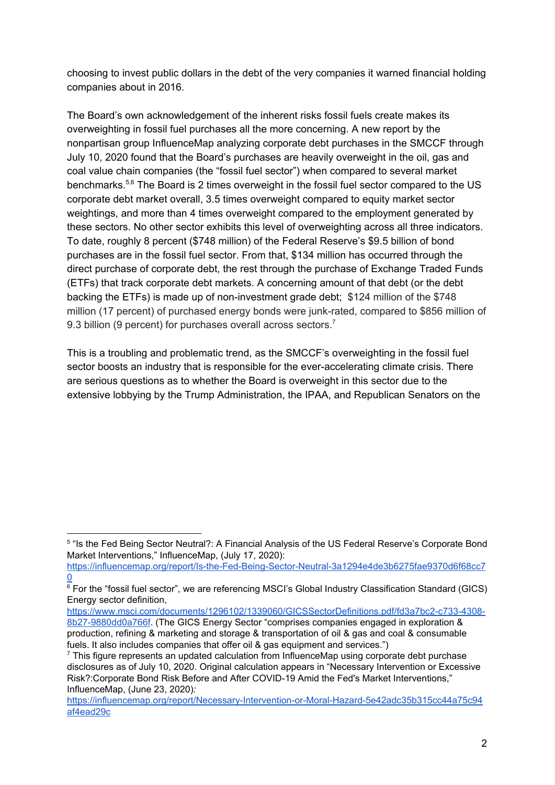choosing to invest public dollars in the debt of the very companies it warned financial holding companies about in 2016.

The Board's own acknowledgement of the inherent risks fossil fuels create makes its overweighting in fossil fuel purchases all the more concerning. A new report by the nonpartisan group InfluenceMap analyzing corporate debt purchases in the SMCCF through July 10, 2020 found that the Board's purchases are heavily overweight in the oil, gas and coal value chain companies (the "fossil fuel sector") when compared to several market benchmarks.<sup>5,6</sup> The Board is 2 times overweight in the fossil fuel sector compared to the US corporate debt market overall, 3.5 times overweight compared to equity market sector weightings, and more than 4 times overweight compared to the employment generated by these sectors. No other sector exhibits this level of overweighting across all three indicators. To date, roughly 8 percent (\$748 million) of the Federal Reserve's \$9.5 billion of bond purchases are in the fossil fuel sector. From that, \$134 million has occurred through the direct purchase of corporate debt, the rest through the purchase of Exchange Traded Funds (ETFs) that track corporate debt markets. A concerning amount of that debt (or the debt backing the ETFs) is made up of non-investment grade debt; \$124 million of the \$748 million (17 percent) of purchased energy bonds were junk-rated, compared to \$856 million of 9.3 billion (9 percent) for purchases overall across sectors.<sup>7</sup>

This is a troubling and problematic trend, as the SMCCF's overweighting in the fossil fuel sector boosts an industry that is responsible for the ever-accelerating climate crisis. There are serious questions as to whether the Board is overweight in this sector due to the extensive lobbying by the Trump Administration, the IPAA, and Republican Senators on the

[https://www.msci.com/documents/1296102/1339060/GICSSectorDefinitions.pdf/fd3a7bc2-c733-4308-](https://www.msci.com/documents/1296102/1339060/GICSSectorDefinitions.pdf/fd3a7bc2-c733-4308-8b27-9880dd0a766f) [8b27-9880dd0a766f](https://www.msci.com/documents/1296102/1339060/GICSSectorDefinitions.pdf/fd3a7bc2-c733-4308-8b27-9880dd0a766f). (The GICS Energy Sector "comprises companies engaged in exploration & production, refining & marketing and storage & transportation of oil & gas and coal & consumable fuels. It also includes companies that offer oil & gas equipment and services.")

<sup>&</sup>lt;sup>5</sup> "Is the Fed Being Sector Neutral?: A Financial Analysis of the US Federal Reserve's Corporate Bond Market Interventions," InfluenceMap, (July 17, 2020):

[https://influencemap.org/report/Is-the-Fed-Being-Sector-Neutral-3a1294e4de3b6275fae9370d6f68cc7](https://influencemap.org/report/Is-the-Fed-Being-Sector-Neutral-3a1294e4de3b6275fae9370d6f68cc70)  $\overline{0}$  $\overline{0}$  $\overline{0}$ 

 $\overline{6}$  For the "fossil fuel sector", we are referencing MSCI's Global Industry Classification Standard (GICS) Energy sector definition,

 $7$  This figure represents an updated calculation from InfluenceMap using corporate debt purchase disclosures as of July 10, 2020. Original calculation appears in "Necessary Intervention or Excessive Risk?:Corporate Bond Risk Before and After COVID-19 Amid the Fed's Market Interventions," InfluenceMap, (June 23, 2020)*:*

[https://influencemap.org/report/Necessary-Intervention-or-Moral-Hazard-5e42adc35b315cc44a75c94](https://influencemap.org/report/Necessary-Intervention-or-Moral-Hazard-5e42adc35b315cc44a75c94af4ead29c) [af4ead29c](https://influencemap.org/report/Necessary-Intervention-or-Moral-Hazard-5e42adc35b315cc44a75c94af4ead29c)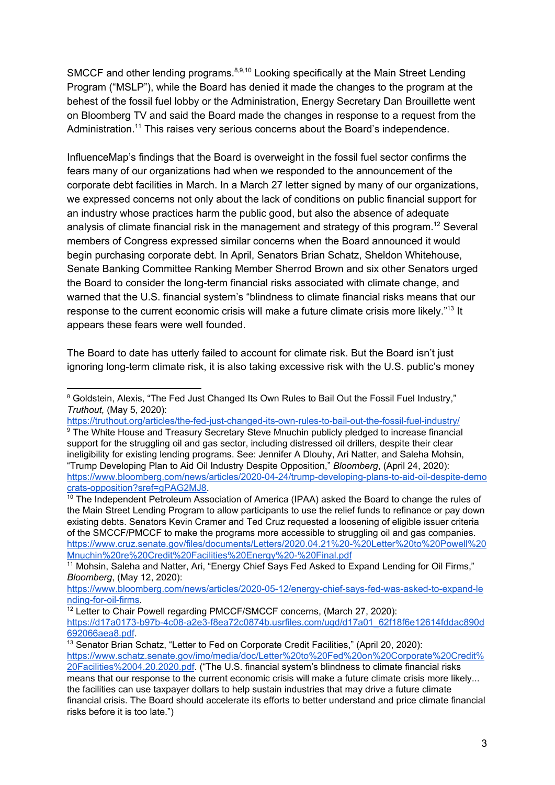SMCCF and other lending programs.<sup>8,9,10</sup> Looking specifically at the Main Street Lending Program ("MSLP"), while the Board has denied it made the changes to the program at the behest of the fossil fuel lobby or the Administration, Energy Secretary Dan Brouillette went on Bloomberg TV and said the Board made the changes in response to a request from the Administration.<sup>11</sup> This raises very serious concerns about the Board's independence.

InfluenceMap's findings that the Board is overweight in the fossil fuel sector confirms the fears many of our organizations had when we responded to the announcement of the corporate debt facilities in March. In a March 27 letter signed by many of our organizations, we expressed concerns not only about the lack of conditions on public financial support for an industry whose practices harm the public good, but also the absence of adequate analysis of climate financial risk in the management and strategy of this program.<sup>12</sup> Several members of Congress expressed similar concerns when the Board announced it would begin purchasing corporate debt. In April, Senators Brian Schatz, Sheldon Whitehouse, Senate Banking Committee Ranking Member Sherrod Brown and six other Senators urged the Board to consider the long-term financial risks associated with climate change, and warned that the U.S. financial system's "blindness to climate financial risks means that our response to the current economic crisis will make a future climate crisis more likely."<sup>13</sup> It appears these fears were well founded.

The Board to date has utterly failed to account for climate risk. But the Board isn't just ignoring long-term climate risk, it is also taking excessive risk with the U.S. public's money

<sup>10</sup> The Independent Petroleum Association of America (IPAA) asked the Board to change the rules of the Main Street Lending Program to allow participants to use the relief funds to refinance or pay down existing debts. Senators Kevin Cramer and Ted Cruz requested a loosening of eligible issuer criteria of the SMCCF/PMCCF to make the programs more accessible to struggling oil and gas companies. [https://www.cruz.senate.gov/files/documents/Letters/2020.04.21%20-%20Letter%20to%20Powell%20](https://www.cruz.senate.gov/files/documents/Letters/2020.04.21%20-%20Letter%20to%20Powell%20Mnuchin%20re%20Credit%20Facilities%20Energy%20-%20Final.pdf) [Mnuchin%20re%20Credit%20Facilities%20Energy%20-%20Final.pdf](https://www.cruz.senate.gov/files/documents/Letters/2020.04.21%20-%20Letter%20to%20Powell%20Mnuchin%20re%20Credit%20Facilities%20Energy%20-%20Final.pdf)

<sup>&</sup>lt;sup>8</sup> Goldstein, Alexis, "The Fed Just Changed Its Own Rules to Bail Out the Fossil Fuel Industry," *Truthout,* (May 5, 2020):

<https://truthout.org/articles/the-fed-just-changed-its-own-rules-to-bail-out-the-fossil-fuel-industry/> <sup>9</sup> The White House and Treasury Secretary Steve Mnuchin publicly pledged to increase financial support for the struggling oil and gas sector, including distressed oil drillers, despite their clear ineligibility for existing lending programs. See: Jennifer A Dlouhy, Ari Natter, and Saleha Mohsin, "Trump Developing Plan to Aid Oil Industry Despite Opposition," *Bloomberg*, (April 24, 2020): [https://www.bloomberg.com/news/articles/2020-04-24/trump-developing-plans-to-aid-oil-despite-demo](https://www.bloomberg.com/news/articles/2020-04-24/trump-developing-plans-to-aid-oil-despite-democrats-opposition?sref=gPAG2MJ8) [crats-opposition?sref=gPAG2MJ8.](https://www.bloomberg.com/news/articles/2020-04-24/trump-developing-plans-to-aid-oil-despite-democrats-opposition?sref=gPAG2MJ8)

<sup>&</sup>lt;sup>11</sup> Mohsin, Saleha and Natter, Ari, "Energy Chief Says Fed Asked to Expand Lending for Oil Firms," *Bloomberg*, (May 12, 2020):

[https://www.bloomberg.com/news/articles/2020-05-12/energy-chief-says-fed-was-asked-to-expand-le](https://www.bloomberg.com/news/articles/2020-05-12/energy-chief-says-fed-was-asked-to-expand-lending-for-oil-firms) [nding-for-oil-firms.](https://www.bloomberg.com/news/articles/2020-05-12/energy-chief-says-fed-was-asked-to-expand-lending-for-oil-firms)

<sup>&</sup>lt;sup>12</sup> Letter to Chair Powell regarding PMCCF/SMCCF concerns, (March 27, 2020):

[https://d17a0173-b97b-4c08-a2e3-f8ea72c0874b.usrfiles.com/ugd/d17a01\\_62f18f6e12614fddac890d](https://d17a0173-b97b-4c08-a2e3-f8ea72c0874b.usrfiles.com/ugd/d17a01_62f18f6e12614fddac890d692066aea8.pdf) [692066aea8.pdf](https://d17a0173-b97b-4c08-a2e3-f8ea72c0874b.usrfiles.com/ugd/d17a01_62f18f6e12614fddac890d692066aea8.pdf).

<sup>&</sup>lt;sup>13</sup> Senator Brian Schatz, "Letter to Fed on Corporate Credit Facilities," (April 20, 2020): [https://www.schatz.senate.gov/imo/media/doc/Letter%20to%20Fed%20on%20Corporate%20Credit%](https://www.schatz.senate.gov/imo/media/doc/Letter%20to%20Fed%20on%20Corporate%20Credit%20Facilities%2004.20.2020.pdf) [20Facilities%2004.20.2020.pdf.](https://www.schatz.senate.gov/imo/media/doc/Letter%20to%20Fed%20on%20Corporate%20Credit%20Facilities%2004.20.2020.pdf) ("The U.S. financial system's blindness to climate financial risks

means that our response to the current economic crisis will make a future climate crisis more likely... the facilities can use taxpayer dollars to help sustain industries that may drive a future climate financial crisis. The Board should accelerate its efforts to better understand and price climate financial risks before it is too late.")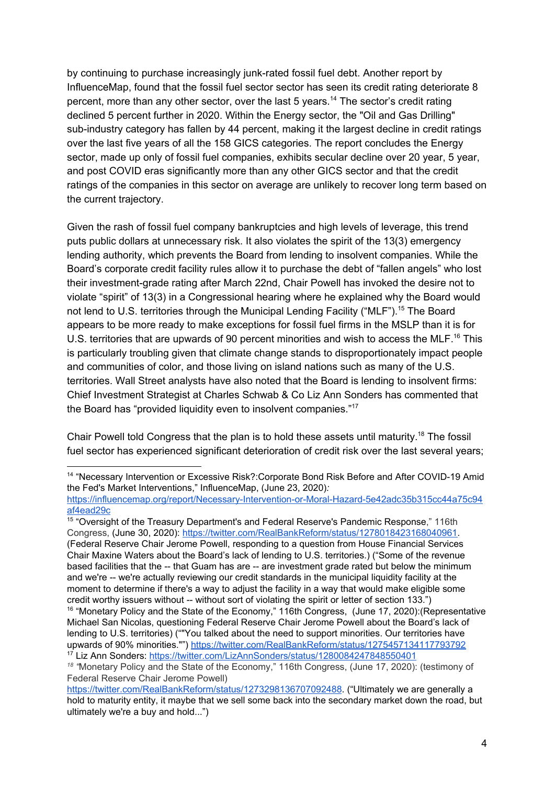by continuing to purchase increasingly junk-rated fossil fuel debt. Another report by InfluenceMap, found that the fossil fuel sector sector has seen its credit rating deteriorate 8 percent, more than any other sector, over the last 5 years.<sup>14</sup> The sector's credit rating declined 5 percent further in 2020. Within the Energy sector, the "Oil and Gas Drilling" sub-industry category has fallen by 44 percent, making it the largest decline in credit ratings over the last five years of all the 158 GICS categories. The report concludes the Energy sector, made up only of fossil fuel companies, exhibits secular decline over 20 year, 5 year, and post COVID eras significantly more than any other GICS sector and that the credit ratings of the companies in this sector on average are unlikely to recover long term based on the current trajectory.

Given the rash of fossil fuel company bankruptcies and high levels of leverage, this trend puts public dollars at unnecessary risk. It also violates the spirit of the 13(3) emergency lending authority, which prevents the Board from lending to insolvent companies. While the Board's corporate credit facility rules allow it to purchase the debt of "fallen angels" who lost their investment-grade rating after March 22nd, Chair Powell has invoked the desire not to violate "spirit" of 13(3) in a Congressional hearing where he explained why the Board would not lend to U.S. territories through the Municipal Lending Facility ("MLF").<sup>15</sup> The Board appears to be more ready to make exceptions for fossil fuel firms in the MSLP than it is for U.S. territories that are upwards of 90 percent minorities and wish to access the MLF.<sup>16</sup> This is particularly troubling given that climate change stands to disproportionately impact people and communities of color, and those living on island nations such as many of the U.S. territories. Wall Street analysts have also noted that the Board is lending to insolvent firms: Chief Investment Strategist at Charles Schwab & Co Liz Ann Sonders has commented that the Board has "provided liquidity even to insolvent companies."<sup>17</sup>

Chair Powell told Congress that the plan is to hold these assets until maturity.<sup>18</sup> The fossil fuel sector has experienced significant deterioration of credit risk over the last several years;

<sup>15</sup> "Oversight of the Treasury Department's and Federal Reserve's Pandemic Response," 116th Congress, (June 30, 2020): [https://twitter.com/RealBankReform/status/1278018423168040961.](https://twitter.com/RealBankReform/status/1278018423168040961) (Federal Reserve Chair Jerome Powell, responding to a question from House Financial Services Chair Maxine Waters about the Board's lack of lending to U.S. territories.) ("Some of the revenue based facilities that the -- that Guam has are -- are investment grade rated but below the minimum and we're -- we're actually reviewing our credit standards in the municipal liquidity facility at the moment to determine if there's a way to adjust the facility in a way that would make eligible some credit worthy issuers without -- without sort of violating the spirit or letter of section 133.")

<sup>&</sup>lt;sup>14</sup> "Necessary Intervention or Excessive Risk?:Corporate Bond Risk Before and After COVID-19 Amid the Fed's Market Interventions," InfluenceMap, (June 23, 2020)*:*

[https://influencemap.org/report/Necessary-Intervention-or-Moral-Hazard-5e42adc35b315cc44a75c94](https://influencemap.org/report/Necessary-Intervention-or-Moral-Hazard-5e42adc35b315cc44a75c94af4ead29c) [af4ead29c](https://influencemap.org/report/Necessary-Intervention-or-Moral-Hazard-5e42adc35b315cc44a75c94af4ead29c)

<sup>&</sup>lt;sup>16</sup> "Monetary Policy and the State of the Economy," 116th Congress, (June 17, 2020): (Representative Michael San Nicolas, questioning Federal Reserve Chair Jerome Powell about the Board's lack of lending to U.S. territories) (""You talked about the need to support minorities. Our territories have upwards of 90% minorities."") <https://twitter.com/RealBankReform/status/1275457134117793792> <sup>17</sup> Liz Ann Sonders: <https://twitter.com/LizAnnSonders/status/1280084247848550401>

<sup>&</sup>lt;sup>18</sup> "Monetary Policy and the State of the Economy," 116th Congress, (June 17, 2020): (testimony of Federal Reserve Chair Jerome Powell)

<https://twitter.com/RealBankReform/status/1273298136707092488>. ("Ultimately we are generally a hold to maturity entity, it maybe that we sell some back into the secondary market down the road, but ultimately we're a buy and hold...")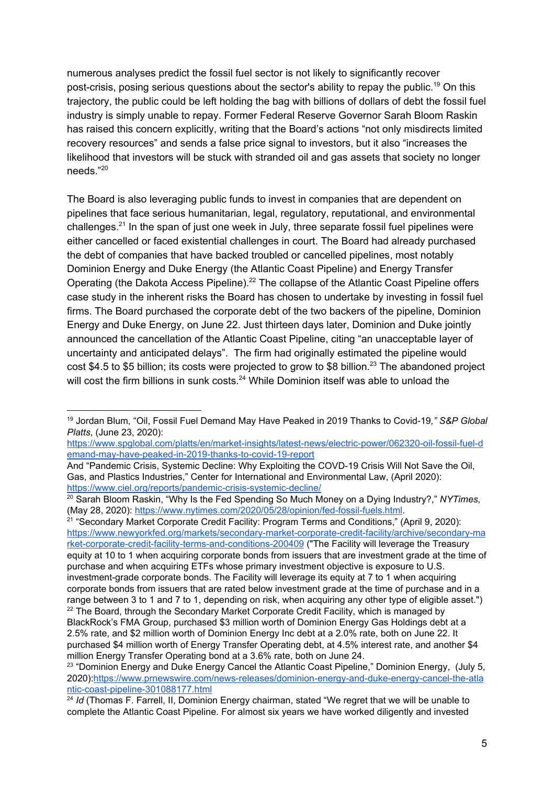numerous analyses predict the fossil fuel sector is not likely to significantly recover post-crisis, posing serious questions about the sector's ability to repay the public.<sup>19</sup> On this trajectory, the public could be left holding the bag with billions of dollars of debt the fossil fuel industry is simply unable to repay. Former Federal Reserve Governor Sarah Bloom Raskin has raised this concern explicitly, writing that the Board's actions "not only misdirects limited recovery resources" and sends a false price signal to investors, but it also "increases the likelihood that investors will be stuck with stranded oil and gas assets that society no longer needs." 20

The Board is also leveraging public funds to invest in companies that are dependent on pipelines that face serious humanitarian, legal, regulatory, reputational, and environmental challenges. $^{21}$  In the span of just one week in July, three separate fossil fuel pipelines were either cancelled or faced existential challenges in court. The Board had already purchased the debt of companies that have backed troubled or cancelled pipelines, most notably Dominion Energy and Duke Energy (the Atlantic Coast Pipeline) and Energy Transfer Operating (the Dakota Access Pipeline).<sup>22</sup> The collapse of the Atlantic Coast Pipeline offers case study in the inherent risks the Board has chosen to undertake by investing in fossil fuel firms. The Board purchased the corporate debt of the two backers of the pipeline, Dominion Energy and Duke Energy, on June 22. Just thirteen days later, Dominion and Duke jointly announced the cancellation of the Atlantic Coast Pipeline, citing "an unacceptable layer of uncertainty and anticipated delays". The firm had originally estimated the pipeline would cost \$4.5 to \$5 billion; its costs were projected to grow to \$8 billion.<sup>23</sup> The abandoned project will cost the firm billions in sunk costs. $24$  While Dominion itself was able to unload the

[https://www.spglobal.com/platts/en/market-insights/latest-news/electric-power/062320-oil-fossil-fuel-d](https://www.spglobal.com/platts/en/market-insights/latest-news/electric-power/062320-oil-fossil-fuel-demand-may-have-peaked-in-2019-thanks-to-covid-19-report) [emand-may-have-peaked-in-2019-thanks-to-covid-19-report](https://www.spglobal.com/platts/en/market-insights/latest-news/electric-power/062320-oil-fossil-fuel-demand-may-have-peaked-in-2019-thanks-to-covid-19-report)

<sup>21</sup> "Secondary Market Corporate Credit Facility: Program Terms and Conditions," (April 9, 2020): [https://www.newyorkfed.org/markets/secondary-market-corporate-credit-facility/archive/secondary-ma](https://www.newyorkfed.org/markets/secondary-market-corporate-credit-facility/archive/secondary-market-corporate-credit-facility-terms-and-conditions-200409) [rket-corporate-credit-facility-terms-and-conditions-200409](https://www.newyorkfed.org/markets/secondary-market-corporate-credit-facility/archive/secondary-market-corporate-credit-facility-terms-and-conditions-200409) ("The Facility will leverage the Treasury equity at 10 to 1 when acquiring corporate bonds from issuers that are investment grade at the time of purchase and when acquiring ETFs whose primary investment objective is exposure to U.S. investment-grade corporate bonds. The Facility will leverage its equity at 7 to 1 when acquiring corporate bonds from issuers that are rated below investment grade at the time of purchase and in a range between 3 to 1 and 7 to 1, depending on risk, when acquiring any other type of eligible asset.")  $22$  The Board, through the Secondary Market Corporate Credit Facility, which is managed by BlackRock's FMA Group, purchased \$3 million worth of Dominion Energy Gas Holdings debt at a 2.5% rate, and \$2 million worth of Dominion Energy Inc debt at a 2.0% rate, both on June 22. It purchased \$4 million worth of Energy Transfer Operating debt, at 4.5% interest rate, and another \$4 million Energy Transfer Operating bond at a 3.6% rate, both on June 24.

<sup>19</sup> Jordan Blum, "Oil, Fossil Fuel Demand May Have Peaked in 2019 Thanks to Covid-19*," S&P Global Platts*, (June 23, 2020):

And "Pandemic Crisis, Systemic Decline: Why Exploiting the COVD-19 Crisis Will Not Save the Oil, Gas, and Plastics Industries," Center for International and Environmental Law, (April 2020): <https://www.ciel.org/reports/pandemic-crisis-systemic-decline/>

<sup>20</sup> Sarah Bloom Raskin, "Why Is the Fed Spending So Much Money on a Dying Industry?," *NYTimes,* (May 28, 2020): <https://www.nytimes.com/2020/05/28/opinion/fed-fossil-fuels.html>.

<sup>&</sup>lt;sup>23</sup> "Dominion Energy and Duke Energy Cancel the Atlantic Coast Pipeline," Dominion Energy, (July 5, 2020):[https://www.prnewswire.com/news-releases/dominion-energy-and-duke-energy-cancel-the-atla](https://www.prnewswire.com/news-releases/dominion-energy-and-duke-energy-cancel-the-atlantic-coast-pipeline-301088177.html) [ntic-coast-pipeline-301088177.html](https://www.prnewswire.com/news-releases/dominion-energy-and-duke-energy-cancel-the-atlantic-coast-pipeline-301088177.html)

<sup>&</sup>lt;sup>24</sup> *Id* (Thomas F. Farrell, II, Dominion Energy chairman, stated "We regret that we will be unable to complete the Atlantic Coast Pipeline. For almost six years we have worked diligently and invested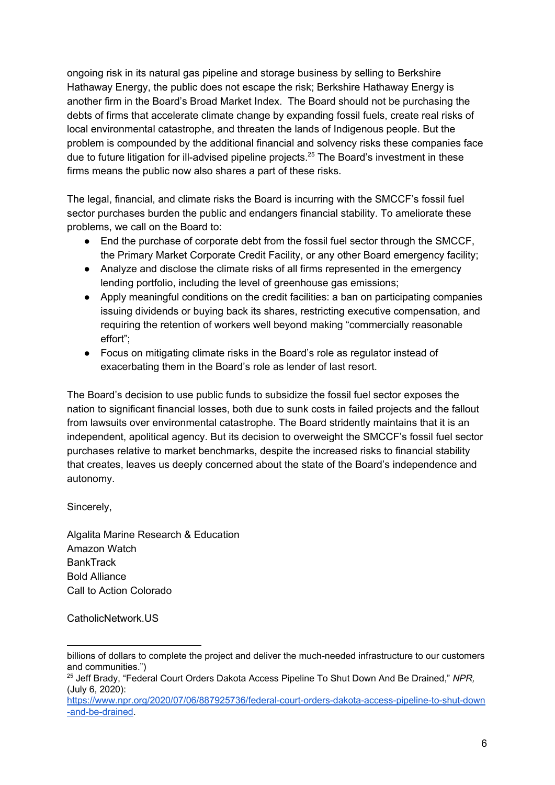ongoing risk in its natural gas pipeline and storage business by selling to Berkshire Hathaway Energy, the public does not escape the risk; Berkshire Hathaway Energy is another firm in the Board's Broad Market Index. The Board should not be purchasing the debts of firms that accelerate climate change by expanding fossil fuels, create real risks of local environmental catastrophe, and threaten the lands of Indigenous people. But the problem is compounded by the additional financial and solvency risks these companies face due to future litigation for ill-advised pipeline projects.<sup>25</sup> The Board's investment in these firms means the public now also shares a part of these risks.

The legal, financial, and climate risks the Board is incurring with the SMCCF's fossil fuel sector purchases burden the public and endangers financial stability. To ameliorate these problems, we call on the Board to:

- End the purchase of corporate debt from the fossil fuel sector through the SMCCF, the Primary Market Corporate Credit Facility, or any other Board emergency facility;
- Analyze and disclose the climate risks of all firms represented in the emergency lending portfolio, including the level of greenhouse gas emissions;
- Apply meaningful conditions on the credit facilities: a ban on participating companies issuing dividends or buying back its shares, restricting executive compensation, and requiring the retention of workers well beyond making "commercially reasonable effort";
- Focus on mitigating climate risks in the Board's role as regulator instead of exacerbating them in the Board's role as lender of last resort.

The Board's decision to use public funds to subsidize the fossil fuel sector exposes the nation to significant financial losses, both due to sunk costs in failed projects and the fallout from lawsuits over environmental catastrophe. The Board stridently maintains that it is an independent, apolitical agency. But its decision to overweight the SMCCF's fossil fuel sector purchases relative to market benchmarks, despite the increased risks to financial stability that creates, leaves us deeply concerned about the state of the Board's independence and autonomy.

Sincerely,

Algalita Marine Research & Education Amazon Watch **BankTrack** Bold Alliance Call to Action Colorado

CatholicNetwork.US

billions of dollars to complete the project and deliver the much-needed infrastructure to our customers and communities.")

<sup>25</sup> Jeff Brady, "Federal Court Orders Dakota Access Pipeline To Shut Down And Be Drained," *NPR,* (July 6, 2020):

[https://www.npr.org/2020/07/06/887925736/federal-court-orders-dakota-access-pipeline-to-shut-down](https://www.npr.org/2020/07/06/887925736/federal-court-orders-dakota-access-pipeline-to-shut-down-and-be-drained) [-and-be-drained](https://www.npr.org/2020/07/06/887925736/federal-court-orders-dakota-access-pipeline-to-shut-down-and-be-drained).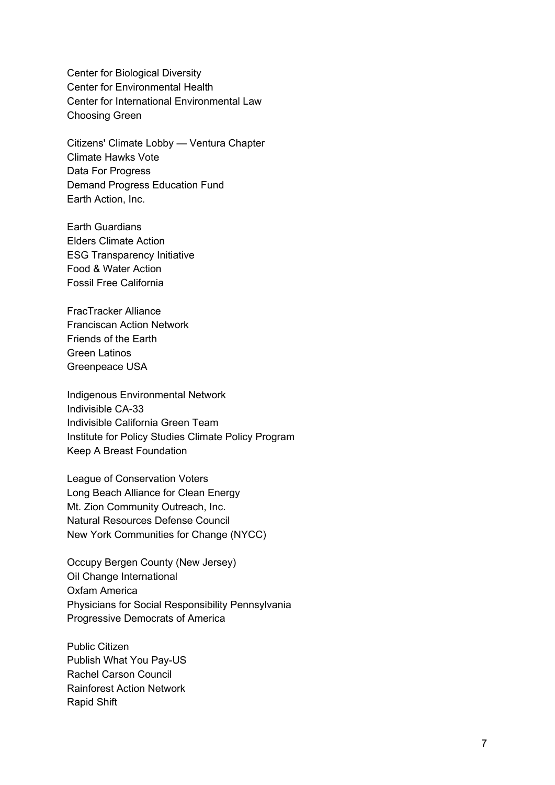Center for Biological Diversity Center for Environmental Health Center for International Environmental Law Choosing Green

Citizens' Climate Lobby — Ventura Chapter Climate Hawks Vote Data For Progress Demand Progress Education Fund Earth Action, Inc.

Earth Guardians Elders Climate Action ESG Transparency Initiative Food & Water Action Fossil Free California

FracTracker Alliance Franciscan Action Network Friends of the Earth Green Latinos Greenpeace USA

Indigenous Environmental Network Indivisible CA-33 Indivisible California Green Team Institute for Policy Studies Climate Policy Program Keep A Breast Foundation

League of Conservation Voters Long Beach Alliance for Clean Energy Mt. Zion Community Outreach, Inc. Natural Resources Defense Council New York Communities for Change (NYCC)

Occupy Bergen County (New Jersey) Oil Change International Oxfam America Physicians for Social Responsibility Pennsylvania Progressive Democrats of America

Public Citizen Publish What You Pay-US Rachel Carson Council Rainforest Action Network Rapid Shift